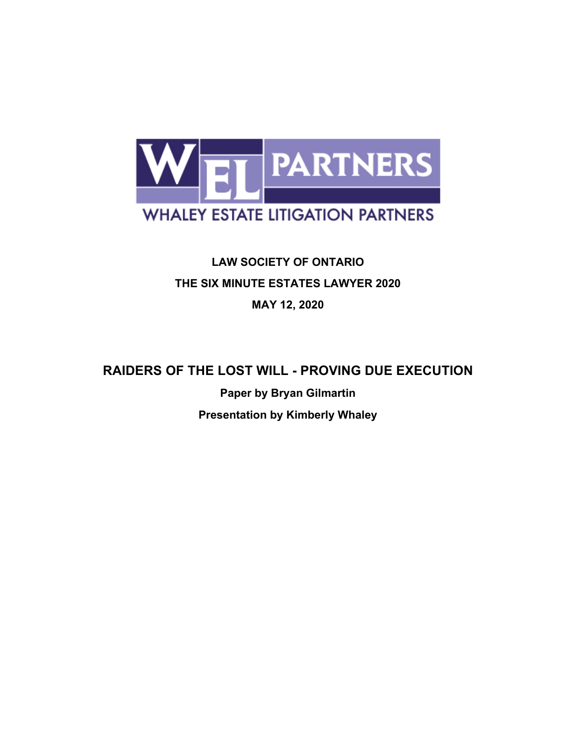

# **LAW SOCIETY OF ONTARIO THE SIX MINUTE ESTATES LAWYER 2020 MAY 12, 2020**

# **RAIDERS OF THE LOST WILL - PROVING DUE EXECUTION**

**Paper by Bryan Gilmartin Presentation by Kimberly Whaley**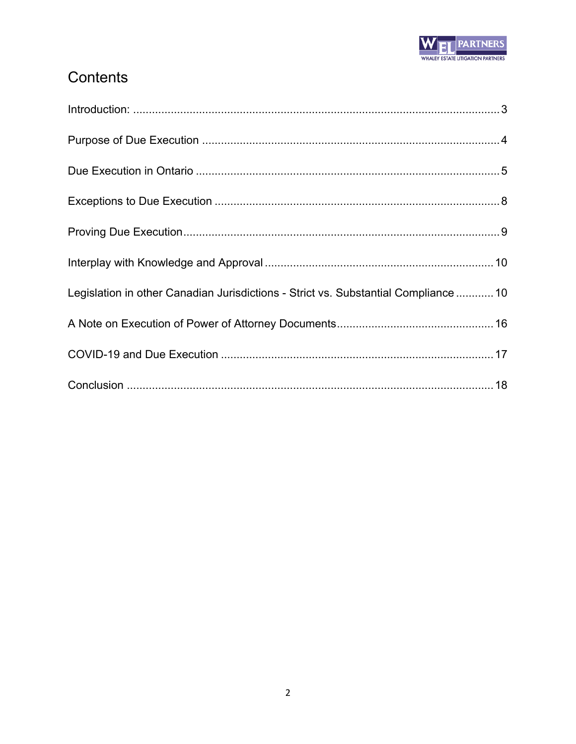

# Contents

| Legislation in other Canadian Jurisdictions - Strict vs. Substantial Compliance  10 |  |
|-------------------------------------------------------------------------------------|--|
|                                                                                     |  |
|                                                                                     |  |
|                                                                                     |  |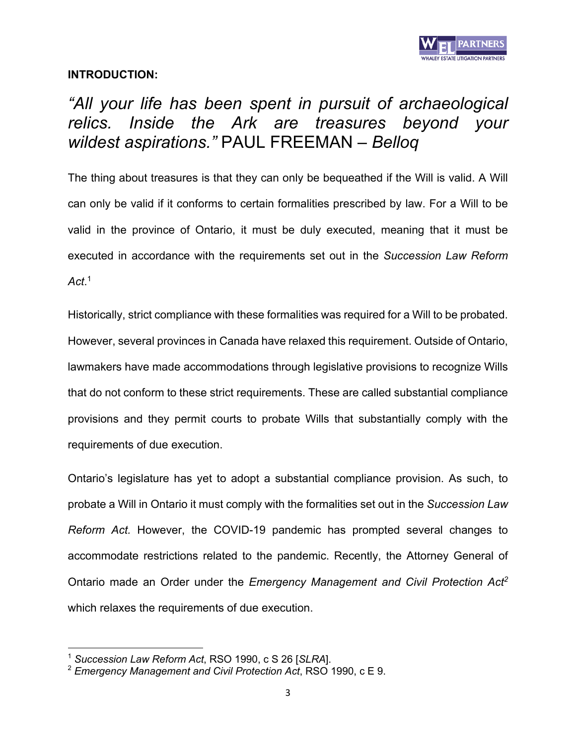

# **INTRODUCTION:**

# *"All your life has been spent in pursuit of archaeological relics. Inside the Ark are treasures beyond your wildest aspirations."* PAUL FREEMAN *– Belloq*

The thing about treasures is that they can only be bequeathed if the Will is valid. A Will can only be valid if it conforms to certain formalities prescribed by law. For a Will to be valid in the province of Ontario, it must be duly executed, meaning that it must be executed in accordance with the requirements set out in the *Succession Law Reform Act*. 1

Historically, strict compliance with these formalities was required for a Will to be probated. However, several provinces in Canada have relaxed this requirement. Outside of Ontario, lawmakers have made accommodations through legislative provisions to recognize Wills that do not conform to these strict requirements. These are called substantial compliance provisions and they permit courts to probate Wills that substantially comply with the requirements of due execution.

Ontario's legislature has yet to adopt a substantial compliance provision. As such, to probate a Will in Ontario it must comply with the formalities set out in the *Succession Law Reform Act.* However, the COVID-19 pandemic has prompted several changes to accommodate restrictions related to the pandemic. Recently, the Attorney General of Ontario made an Order under the *Emergency Management and Civil Protection Act2* which relaxes the requirements of due execution.

<sup>1</sup> *Succession Law Reform Act*, RSO 1990, c S 26 [*SLRA*].

<sup>2</sup> *Emergency Management and Civil Protection Act*, RSO 1990, c E 9.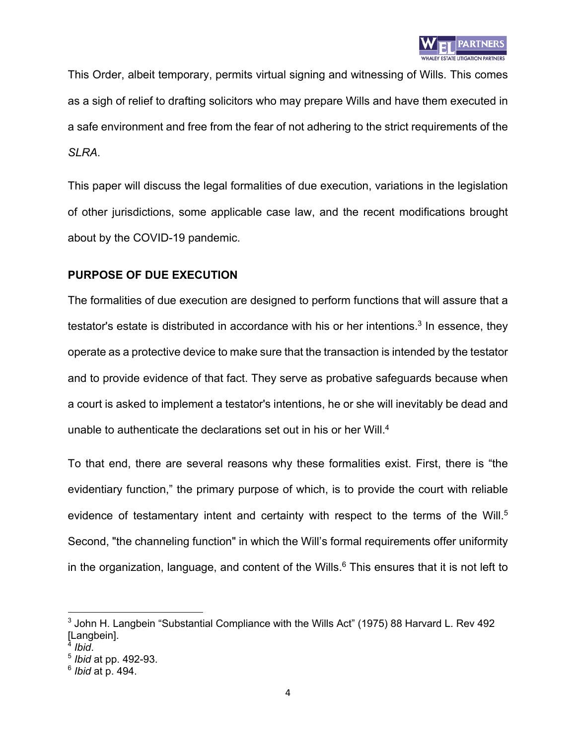

This Order, albeit temporary, permits virtual signing and witnessing of Wills. This comes as a sigh of relief to drafting solicitors who may prepare Wills and have them executed in a safe environment and free from the fear of not adhering to the strict requirements of the *SLRA*.

This paper will discuss the legal formalities of due execution, variations in the legislation of other jurisdictions, some applicable case law, and the recent modifications brought about by the COVID-19 pandemic.

### **PURPOSE OF DUE EXECUTION**

The formalities of due execution are designed to perform functions that will assure that a testator's estate is distributed in accordance with his or her intentions.<sup>3</sup> In essence, they operate as a protective device to make sure that the transaction is intended by the testator and to provide evidence of that fact. They serve as probative safeguards because when a court is asked to implement a testator's intentions, he or she will inevitably be dead and unable to authenticate the declarations set out in his or her Will.<sup>4</sup>

To that end, there are several reasons why these formalities exist. First, there is "the evidentiary function," the primary purpose of which, is to provide the court with reliable evidence of testamentary intent and certainty with respect to the terms of the Will.<sup>5</sup> Second, "the channeling function" in which the Will's formal requirements offer uniformity in the organization, language, and content of the Wills. $6$  This ensures that it is not left to

 $3$  John H. Langbein "Substantial Compliance with the Wills Act" (1975) 88 Harvard L. Rev 492 [Langbein].<br><sup>4</sup> Ibid.

<sup>4</sup> *Ibid*. 5 *Ibid* at pp. 492-93.

<sup>6</sup> *Ibid* at p. 494.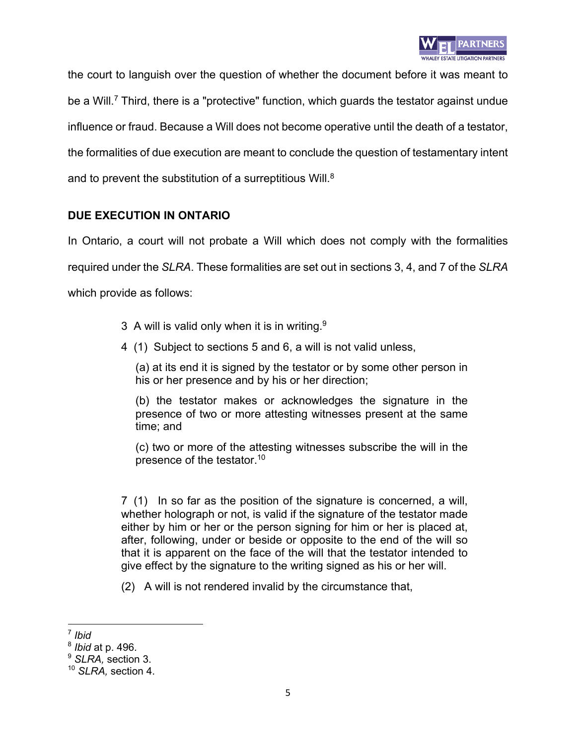

the court to languish over the question of whether the document before it was meant to be a Will.<sup>7</sup> Third, there is a "protective" function, which guards the testator against undue influence or fraud. Because a Will does not become operative until the death of a testator, the formalities of due execution are meant to conclude the question of testamentary intent and to prevent the substitution of a surreptitious Will.<sup>8</sup>

### **DUE EXECUTION IN ONTARIO**

In Ontario, a court will not probate a Will which does not comply with the formalities required under the *SLRA*. These formalities are set out in sections 3, 4, and 7 of the *SLRA* which provide as follows:

- 3 A will is valid only when it is in writing.<sup>9</sup>
- 4 (1) Subject to sections 5 and 6, a will is not valid unless,

(a) at its end it is signed by the testator or by some other person in his or her presence and by his or her direction;

(b) the testator makes or acknowledges the signature in the presence of two or more attesting witnesses present at the same time; and

(c) two or more of the attesting witnesses subscribe the will in the presence of the testator.10

7 (1) In so far as the position of the signature is concerned, a will, whether holograph or not, is valid if the signature of the testator made either by him or her or the person signing for him or her is placed at, after, following, under or beside or opposite to the end of the will so that it is apparent on the face of the will that the testator intended to give effect by the signature to the writing signed as his or her will.

(2) A will is not rendered invalid by the circumstance that,

<sup>7</sup> *Ibid*

<sup>8</sup> *Ibid* at p. 496.

<sup>9</sup> *SLRA,* section 3.

<sup>10</sup> *SLRA,* section 4.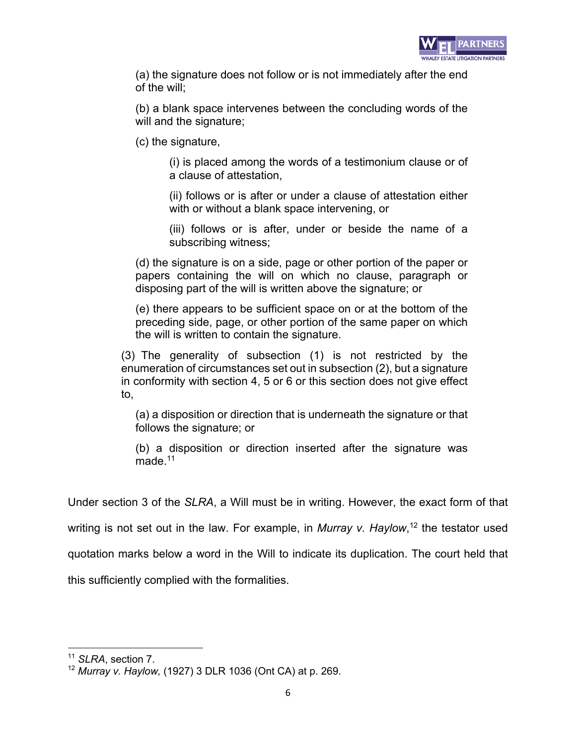

(a) the signature does not follow or is not immediately after the end of the will;

(b) a blank space intervenes between the concluding words of the will and the signature;

(c) the signature,

(i) is placed among the words of a testimonium clause or of a clause of attestation,

(ii) follows or is after or under a clause of attestation either with or without a blank space intervening, or

(iii) follows or is after, under or beside the name of a subscribing witness;

(d) the signature is on a side, page or other portion of the paper or papers containing the will on which no clause, paragraph or disposing part of the will is written above the signature; or

(e) there appears to be sufficient space on or at the bottom of the preceding side, page, or other portion of the same paper on which the will is written to contain the signature.

(3) The generality of subsection (1) is not restricted by the enumeration of circumstances set out in subsection (2), but a signature in conformity with section 4, 5 or 6 or this section does not give effect to,

(a) a disposition or direction that is underneath the signature or that follows the signature; or

(b) a disposition or direction inserted after the signature was made.<sup>11</sup>

Under section 3 of the *SLRA*, a Will must be in writing. However, the exact form of that

writing is not set out in the law. For example, in *Murray v. Haylow*, <sup>12</sup> the testator used

quotation marks below a word in the Will to indicate its duplication. The court held that

this sufficiently complied with the formalities.

<sup>11</sup> *SLRA*, section 7.

<sup>12</sup> *Murray v. Haylow,* (1927) 3 DLR 1036 (Ont CA) at p. 269.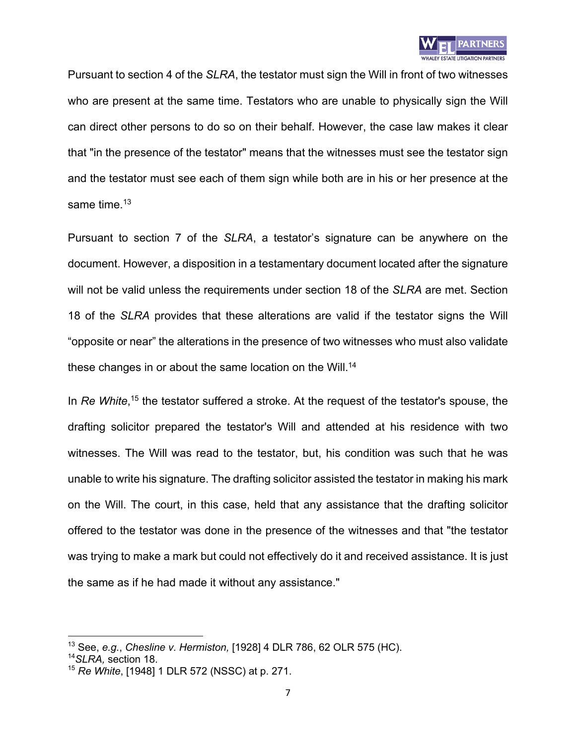

Pursuant to section 4 of the *SLRA*, the testator must sign the Will in front of two witnesses who are present at the same time. Testators who are unable to physically sign the Will can direct other persons to do so on their behalf. However, the case law makes it clear that "in the presence of the testator" means that the witnesses must see the testator sign and the testator must see each of them sign while both are in his or her presence at the same time. $13$ 

Pursuant to section 7 of the *SLRA*, a testator's signature can be anywhere on the document. However, a disposition in a testamentary document located after the signature will not be valid unless the requirements under section 18 of the *SLRA* are met. Section 18 of the *SLRA* provides that these alterations are valid if the testator signs the Will "opposite or near" the alterations in the presence of two witnesses who must also validate these changes in or about the same location on the Will.<sup>14</sup>

In *Re White*,<sup>15</sup> the testator suffered a stroke. At the request of the testator's spouse, the drafting solicitor prepared the testator's Will and attended at his residence with two witnesses. The Will was read to the testator, but, his condition was such that he was unable to write his signature. The drafting solicitor assisted the testator in making his mark on the Will. The court, in this case, held that any assistance that the drafting solicitor offered to the testator was done in the presence of the witnesses and that "the testator was trying to make a mark but could not effectively do it and received assistance. It is just the same as if he had made it without any assistance."

<sup>13</sup> See, *e.g.*, *Chesline v. Hermiston,* [1928] 4 DLR 786, 62 OLR 575 (HC).

<sup>14</sup>*SLRA,* section 18.

<sup>15</sup> *Re White*, [1948] 1 DLR 572 (NSSC) at p. 271.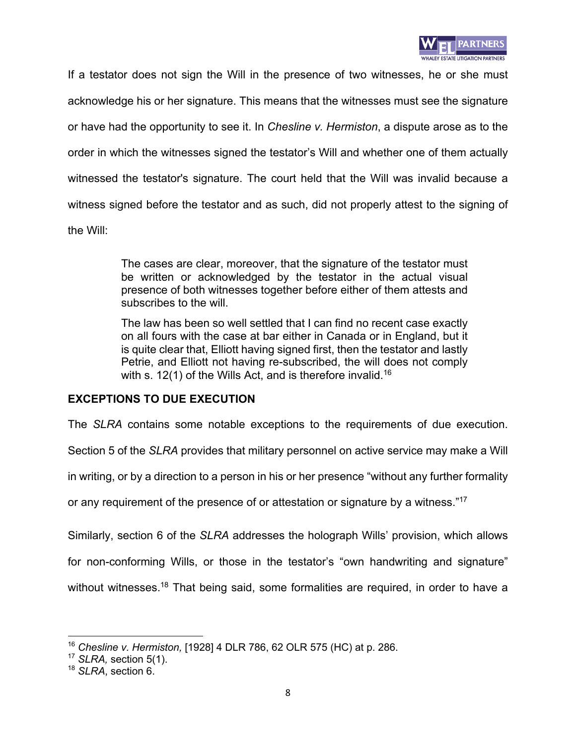

If a testator does not sign the Will in the presence of two witnesses, he or she must acknowledge his or her signature. This means that the witnesses must see the signature or have had the opportunity to see it. In *Chesline v. Hermiston*, a dispute arose as to the order in which the witnesses signed the testator's Will and whether one of them actually witnessed the testator's signature. The court held that the Will was invalid because a witness signed before the testator and as such, did not properly attest to the signing of the Will:

> The cases are clear, moreover, that the signature of the testator must be written or acknowledged by the testator in the actual visual presence of both witnesses together before either of them attests and subscribes to the will.

> The law has been so well settled that I can find no recent case exactly on all fours with the case at bar either in Canada or in England, but it is quite clear that, Elliott having signed first, then the testator and lastly Petrie, and Elliott not having re-subscribed, the will does not comply with s. 12(1) of the Wills Act, and is therefore invalid.<sup>16</sup>

#### **EXCEPTIONS TO DUE EXECUTION**

The *SLRA* contains some notable exceptions to the requirements of due execution.

Section 5 of the *SLRA* provides that military personnel on active service may make a Will

in writing, or by a direction to a person in his or her presence "without any further formality

or any requirement of the presence of or attestation or signature by a witness."<sup>17</sup>

Similarly, section 6 of the *SLRA* addresses the holograph Wills' provision, which allows

for non-conforming Wills, or those in the testator's "own handwriting and signature"

without witnesses.<sup>18</sup> That being said, some formalities are required, in order to have a

<sup>16</sup> *Chesline v. Hermiston,* [1928] 4 DLR 786, 62 OLR 575 (HC) at p. 286.

<sup>17</sup> *SLRA,* section 5(1).

<sup>18</sup> *SLRA*, section 6.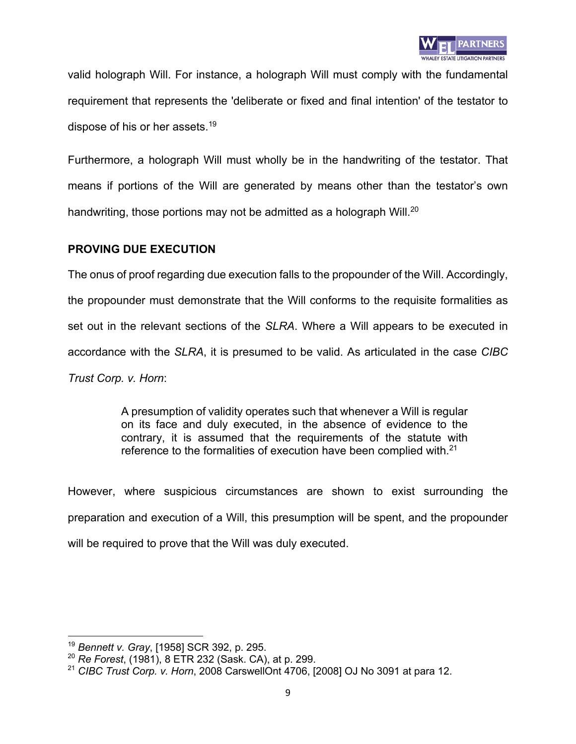

valid holograph Will. For instance, a holograph Will must comply with the fundamental requirement that represents the 'deliberate or fixed and final intention' of the testator to dispose of his or her assets.<sup>19</sup>

Furthermore, a holograph Will must wholly be in the handwriting of the testator. That means if portions of the Will are generated by means other than the testator's own handwriting, those portions may not be admitted as a holograph Will.<sup>20</sup>

#### **PROVING DUE EXECUTION**

The onus of proof regarding due execution falls to the propounder of the Will. Accordingly, the propounder must demonstrate that the Will conforms to the requisite formalities as set out in the relevant sections of the *SLRA*. Where a Will appears to be executed in accordance with the *SLRA*, it is presumed to be valid. As articulated in the case *CIBC Trust Corp. v. Horn*:

> A presumption of validity operates such that whenever a Will is regular on its face and duly executed, in the absence of evidence to the contrary, it is assumed that the requirements of the statute with reference to the formalities of execution have been complied with.<sup>21</sup>

However, where suspicious circumstances are shown to exist surrounding the preparation and execution of a Will, this presumption will be spent, and the propounder will be required to prove that the Will was duly executed.

<sup>19</sup> *Bennett v. Gray*, [1958] SCR 392, p. 295.

<sup>20</sup> *Re Forest*, (1981), 8 ETR 232 (Sask. CA), at p. 299.

<sup>21</sup> *CIBC Trust Corp. v. Horn*, 2008 CarswellOnt 4706, [2008] OJ No 3091 at para 12.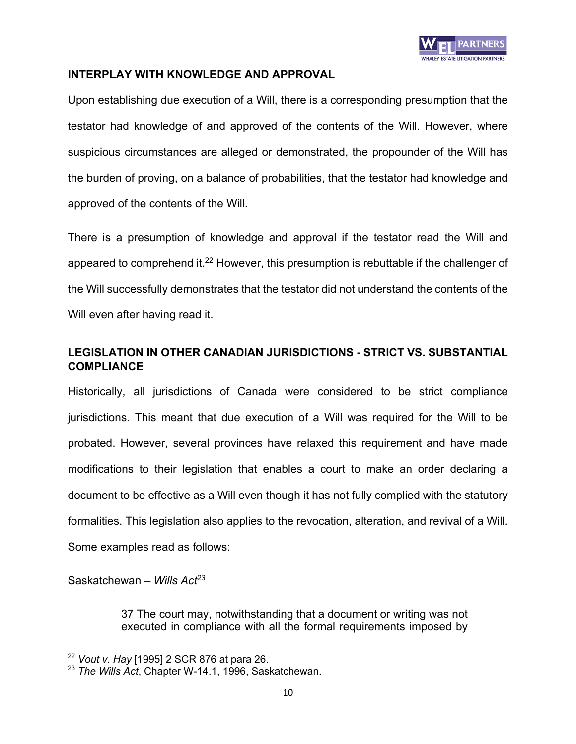

#### **INTERPLAY WITH KNOWLEDGE AND APPROVAL**

Upon establishing due execution of a Will, there is a corresponding presumption that the testator had knowledge of and approved of the contents of the Will. However, where suspicious circumstances are alleged or demonstrated, the propounder of the Will has the burden of proving, on a balance of probabilities, that the testator had knowledge and approved of the contents of the Will.

There is a presumption of knowledge and approval if the testator read the Will and appeared to comprehend it.<sup>22</sup> However, this presumption is rebuttable if the challenger of the Will successfully demonstrates that the testator did not understand the contents of the Will even after having read it.

## **LEGISLATION IN OTHER CANADIAN JURISDICTIONS - STRICT VS. SUBSTANTIAL COMPLIANCE**

Historically, all jurisdictions of Canada were considered to be strict compliance jurisdictions. This meant that due execution of a Will was required for the Will to be probated. However, several provinces have relaxed this requirement and have made modifications to their legislation that enables a court to make an order declaring a document to be effective as a Will even though it has not fully complied with the statutory formalities. This legislation also applies to the revocation, alteration, and revival of a Will. Some examples read as follows:

#### Saskatchewan – *Wills Act23*

37 The court may, notwithstanding that a document or writing was not executed in compliance with all the formal requirements imposed by

<sup>22</sup> *Vout v. Hay* [1995] 2 SCR 876 at para 26.

<sup>23</sup> *The Wills Act*, Chapter W-14.1, 1996, Saskatchewan.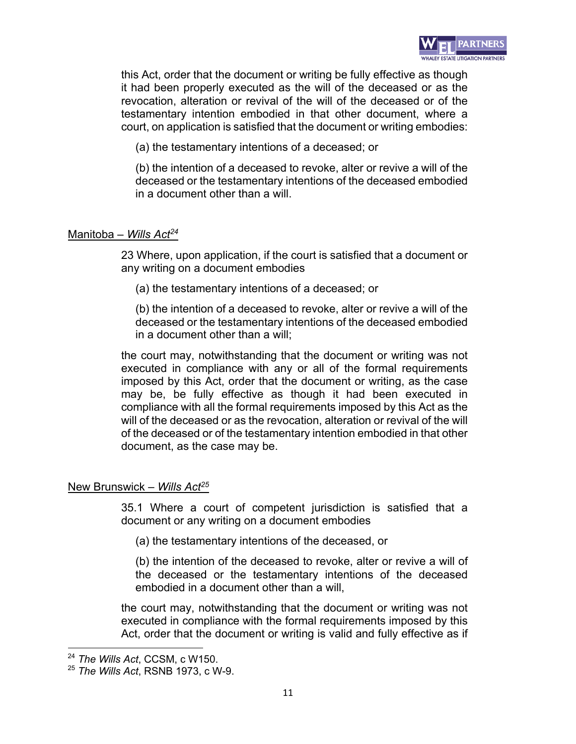

this Act, order that the document or writing be fully effective as though it had been properly executed as the will of the deceased or as the revocation, alteration or revival of the will of the deceased or of the testamentary intention embodied in that other document, where a court, on application is satisfied that the document or writing embodies:

(a) the testamentary intentions of a deceased; or

(b) the intention of a deceased to revoke, alter or revive a will of the deceased or the testamentary intentions of the deceased embodied in a document other than a will.

### Manitoba – *Wills Act24*

23 Where, upon application, if the court is satisfied that a document or any writing on a document embodies

(a) the testamentary intentions of a deceased; or

(b) the intention of a deceased to revoke, alter or revive a will of the deceased or the testamentary intentions of the deceased embodied in a document other than a will;

the court may, notwithstanding that the document or writing was not executed in compliance with any or all of the formal requirements imposed by this Act, order that the document or writing, as the case may be, be fully effective as though it had been executed in compliance with all the formal requirements imposed by this Act as the will of the deceased or as the revocation, alteration or revival of the will of the deceased or of the testamentary intention embodied in that other document, as the case may be.

# New Brunswick – *Wills Act25*

35.1 Where a court of competent jurisdiction is satisfied that a document or any writing on a document embodies

(a) the testamentary intentions of the deceased, or

(b) the intention of the deceased to revoke, alter or revive a will of the deceased or the testamentary intentions of the deceased embodied in a document other than a will,

the court may, notwithstanding that the document or writing was not executed in compliance with the formal requirements imposed by this Act, order that the document or writing is valid and fully effective as if

<sup>24</sup> *The Wills Act*, CCSM, c W150.

<sup>25</sup> *The Wills Act*, RSNB 1973, c W-9.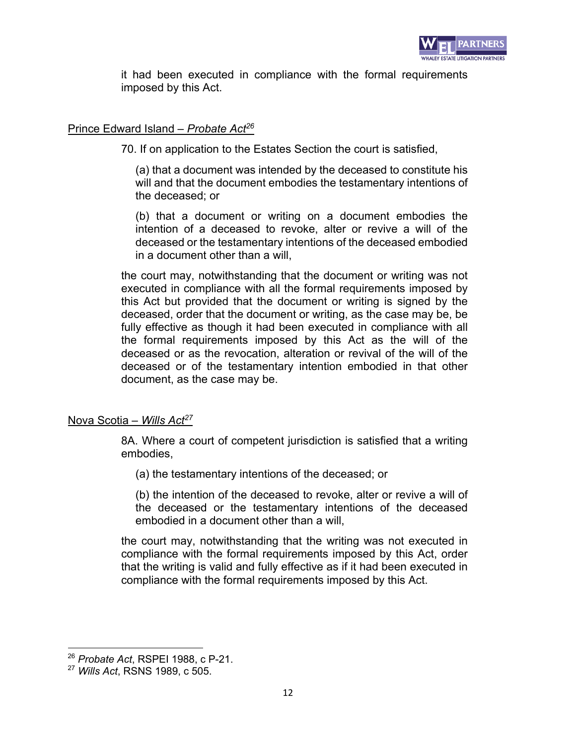

it had been executed in compliance with the formal requirements imposed by this Act.

### Prince Edward Island – *Probate Act26*

70. If on application to the Estates Section the court is satisfied,

(a) that a document was intended by the deceased to constitute his will and that the document embodies the testamentary intentions of the deceased; or

(b) that a document or writing on a document embodies the intention of a deceased to revoke, alter or revive a will of the deceased or the testamentary intentions of the deceased embodied in a document other than a will,

the court may, notwithstanding that the document or writing was not executed in compliance with all the formal requirements imposed by this Act but provided that the document or writing is signed by the deceased, order that the document or writing, as the case may be, be fully effective as though it had been executed in compliance with all the formal requirements imposed by this Act as the will of the deceased or as the revocation, alteration or revival of the will of the deceased or of the testamentary intention embodied in that other document, as the case may be.

#### Nova Scotia – *Wills Act27*

8A. Where a court of competent jurisdiction is satisfied that a writing embodies,

(a) the testamentary intentions of the deceased; or

(b) the intention of the deceased to revoke, alter or revive a will of the deceased or the testamentary intentions of the deceased embodied in a document other than a will,

the court may, notwithstanding that the writing was not executed in compliance with the formal requirements imposed by this Act, order that the writing is valid and fully effective as if it had been executed in compliance with the formal requirements imposed by this Act.

<sup>26</sup> *Probate Act*, RSPEI 1988, c P-21.

<sup>27</sup> *Wills Act*, RSNS 1989, c 505.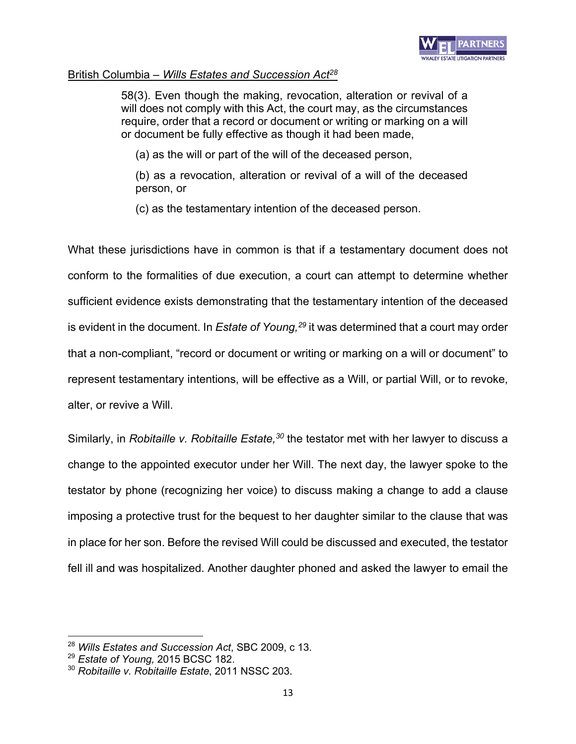

#### British Columbia – *Wills Estates and Succession Act28*

58(3). Even though the making, revocation, alteration or revival of a will does not comply with this Act, the court may, as the circumstances require, order that a record or document or writing or marking on a will or document be fully effective as though it had been made,

(a) as the will or part of the will of the deceased person,

(b) as a revocation, alteration or revival of a will of the deceased person, or

(c) as the testamentary intention of the deceased person.

What these jurisdictions have in common is that if a testamentary document does not conform to the formalities of due execution, a court can attempt to determine whether sufficient evidence exists demonstrating that the testamentary intention of the deceased is evident in the document. In *Estate of Young*, <sup>29</sup> it was determined that a court may order that a non-compliant, "record or document or writing or marking on a will or document" to represent testamentary intentions, will be effective as a Will, or partial Will, or to revoke, alter, or revive a Will.

Similarly, in *Robitaille v. Robitaille Estate*,<sup>30</sup> the testator met with her lawyer to discuss a change to the appointed executor under her Will. The next day, the lawyer spoke to the testator by phone (recognizing her voice) to discuss making a change to add a clause imposing a protective trust for the bequest to her daughter similar to the clause that was in place for her son. Before the revised Will could be discussed and executed, the testator fell ill and was hospitalized. Another daughter phoned and asked the lawyer to email the

<sup>28</sup> *Wills Estates and Succession Act*, SBC 2009, c 13.

<sup>29</sup> *Estate of Young,* 2015 BCSC 182.

<sup>30</sup> *Robitaille v. Robitaille Estate*, 2011 NSSC 203.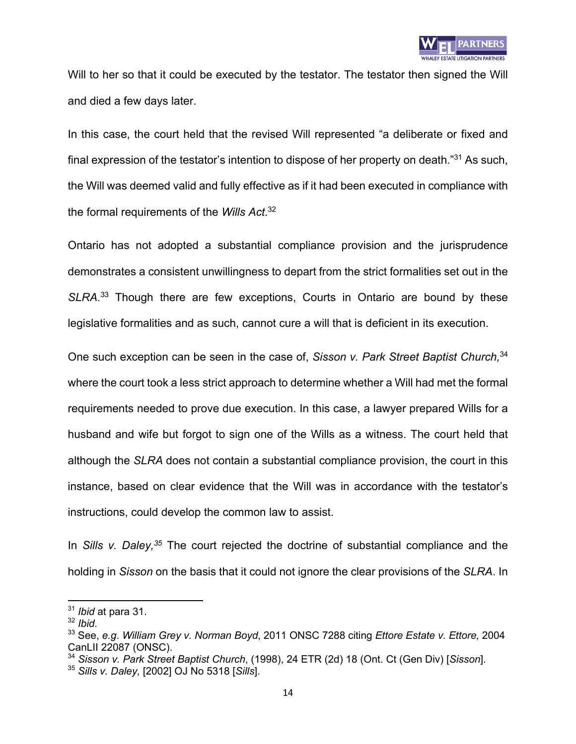

Will to her so that it could be executed by the testator. The testator then signed the Will and died a few days later.

In this case, the court held that the revised Will represented "a deliberate or fixed and final expression of the testator's intention to dispose of her property on death."31 As such, the Will was deemed valid and fully effective as if it had been executed in compliance with the formal requirements of the *Wills Act*. 32

Ontario has not adopted a substantial compliance provision and the jurisprudence demonstrates a consistent unwillingness to depart from the strict formalities set out in the *SLRA*. <sup>33</sup> Though there are few exceptions, Courts in Ontario are bound by these legislative formalities and as such, cannot cure a will that is deficient in its execution.

One such exception can be seen in the case of, *Sisson v. Park Street Baptist Church,*<sup>34</sup> where the court took a less strict approach to determine whether a Will had met the formal requirements needed to prove due execution. In this case, a lawyer prepared Wills for a husband and wife but forgot to sign one of the Wills as a witness. The court held that although the *SLRA* does not contain a substantial compliance provision, the court in this instance, based on clear evidence that the Will was in accordance with the testator's instructions, could develop the common law to assist.

In *Sills v. Daley, <sup>35</sup>* The court rejected the doctrine of substantial compliance and the holding in *Sisson* on the basis that it could not ignore the clear provisions of the *SLRA*. In

<sup>31</sup> *Ibid* at para 31.

<sup>32</sup> *Ibid.* 

<sup>33</sup> See, *e.g*. *William Grey v. Norman Boyd*, 2011 ONSC 7288 citing *Ettore Estate v. Ettore,* 2004 CanLII 22087 (ONSC).

<sup>34</sup> *Sisson v. Park Street Baptist Church*, (1998), 24 ETR (2d) 18 (Ont. Ct (Gen Div) [*Sisson*].

<sup>35</sup> *Sills v. Daley,* [2002] OJ No 5318 [*Sills*].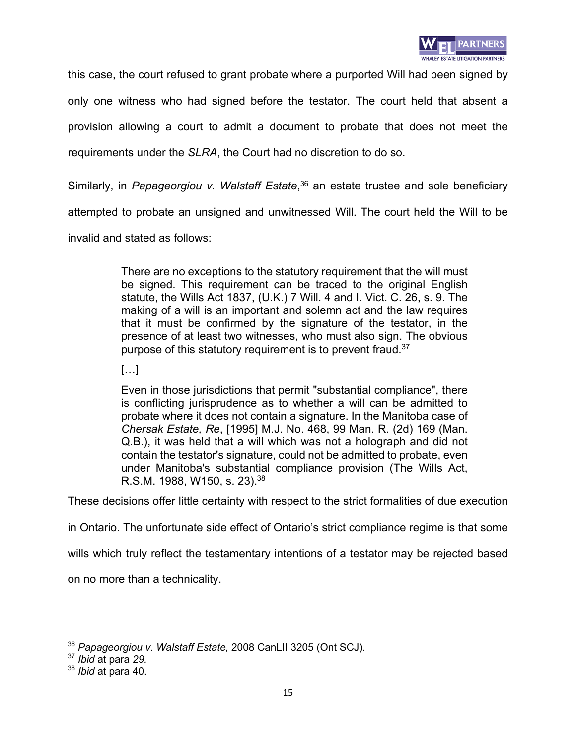

this case, the court refused to grant probate where a purported Will had been signed by only one witness who had signed before the testator. The court held that absent a provision allowing a court to admit a document to probate that does not meet the requirements under the *SLRA*, the Court had no discretion to do so.

Similarly, in Papageorgiou v. Walstaff Estate,<sup>36</sup> an estate trustee and sole beneficiary

attempted to probate an unsigned and unwitnessed Will. The court held the Will to be

invalid and stated as follows:

There are no exceptions to the statutory requirement that the will must be signed. This requirement can be traced to the original English statute, the Wills Act 1837, (U.K.) 7 Will. 4 and I. Vict. C. 26, s. 9. The making of a will is an important and solemn act and the law requires that it must be confirmed by the signature of the testator, in the presence of at least two witnesses, who must also sign. The obvious purpose of this statutory requirement is to prevent fraud.<sup>37</sup>

[…]

Even in those jurisdictions that permit "substantial compliance", there is conflicting jurisprudence as to whether a will can be admitted to probate where it does not contain a signature. In the Manitoba case of *Chersak Estate, Re*, [1995] M.J. No. 468, 99 Man. R. (2d) 169 (Man. Q.B.), it was held that a will which was not a holograph and did not contain the testator's signature, could not be admitted to probate, even under Manitoba's substantial compliance provision (The Wills Act, R.S.M. 1988, W150, s. 23).38

These decisions offer little certainty with respect to the strict formalities of due execution

in Ontario. The unfortunate side effect of Ontario's strict compliance regime is that some

wills which truly reflect the testamentary intentions of a testator may be rejected based

on no more than a technicality.

<sup>36</sup> *Papageorgiou v. Walstaff Estate,* 2008 CanLII 3205 (Ont SCJ).

<sup>37</sup> *Ibid* at para *29.* 

<sup>38</sup> *Ibid* at para 40.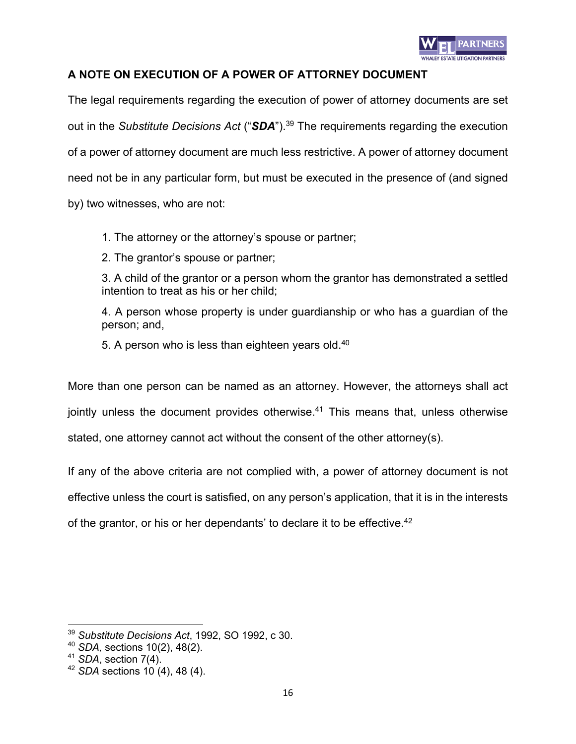

# **A NOTE ON EXECUTION OF A POWER OF ATTORNEY DOCUMENT**

The legal requirements regarding the execution of power of attorney documents are set out in the *Substitute Decisions Act* ("*SDA*").39 The requirements regarding the execution of a power of attorney document are much less restrictive. A power of attorney document need not be in any particular form, but must be executed in the presence of (and signed by) two witnesses, who are not:

1. The attorney or the attorney's spouse or partner;

2. The grantor's spouse or partner;

3. A child of the grantor or a person whom the grantor has demonstrated a settled intention to treat as his or her child;

4. A person whose property is under guardianship or who has a guardian of the person; and,

5. A person who is less than eighteen years old.<sup>40</sup>

More than one person can be named as an attorney. However, the attorneys shall act jointly unless the document provides otherwise.<sup>41</sup> This means that, unless otherwise stated, one attorney cannot act without the consent of the other attorney(s).

If any of the above criteria are not complied with, a power of attorney document is not effective unless the court is satisfied, on any person's application, that it is in the interests

of the grantor, or his or her dependants' to declare it to be effective.<sup>42</sup>

<sup>39</sup> *Substitute Decisions Act*, 1992, SO 1992, c 30.

<sup>40</sup> *SDA,* sections 10(2), 48(2).

<sup>41</sup> *SDA*, section 7(4).

<sup>42</sup> *SDA* sections 10 (4), 48 (4).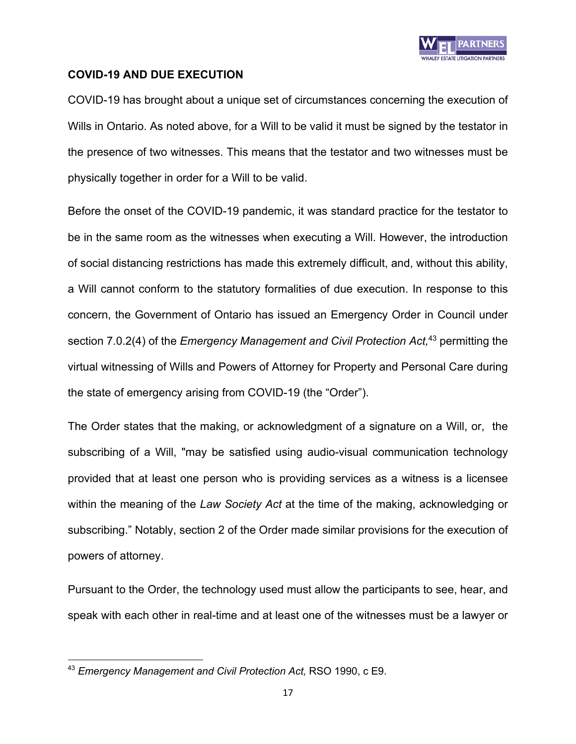

# **COVID-19 AND DUE EXECUTION**

COVID-19 has brought about a unique set of circumstances concerning the execution of Wills in Ontario. As noted above, for a Will to be valid it must be signed by the testator in the presence of two witnesses. This means that the testator and two witnesses must be physically together in order for a Will to be valid.

Before the onset of the COVID-19 pandemic, it was standard practice for the testator to be in the same room as the witnesses when executing a Will. However, the introduction of social distancing restrictions has made this extremely difficult, and, without this ability, a Will cannot conform to the statutory formalities of due execution. In response to this concern, the Government of Ontario has issued an Emergency Order in Council under section 7.0.2(4) of the *Emergency Management and Civil Protection Act,* <sup>43</sup> permitting the virtual witnessing of Wills and Powers of Attorney for Property and Personal Care during the state of emergency arising from COVID-19 (the "Order").

The Order states that the making, or acknowledgment of a signature on a Will, or, the subscribing of a Will, "may be satisfied using audio-visual communication technology provided that at least one person who is providing services as a witness is a licensee within the meaning of the *Law Society Act* at the time of the making, acknowledging or subscribing." Notably, section 2 of the Order made similar provisions for the execution of powers of attorney.

Pursuant to the Order, the technology used must allow the participants to see, hear, and speak with each other in real-time and at least one of the witnesses must be a lawyer or

<sup>43</sup> *Emergency Management and Civil Protection Act,* RSO 1990, c E9.